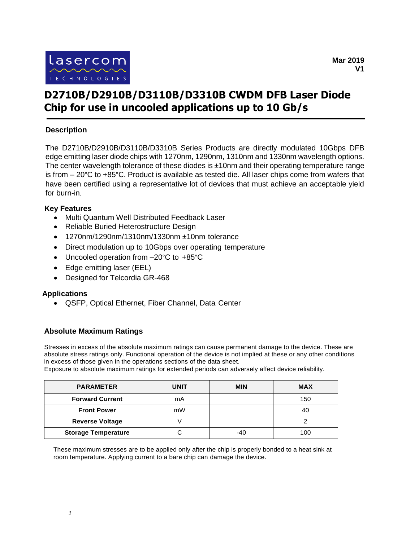

# **D2710B/D2910B/D3110B/D3310B CWDM DFB Laser Diode Chip for use in uncooled applications up to 10 Gb/s**

## **Description**

The D2710B/D2910B/D3110B/D3310B Series Products are directly modulated 10Gbps DFB edge emitting laser diode chips with 1270nm, 1290nm, 1310nm and 1330nm wavelength options. The center wavelength tolerance of these diodes is  $\pm 10$ nm and their operating temperature range is from – 20°C to +85°C. Product is available as tested die. All laser chips come from wafers that have been certified using a representative lot of devices that must achieve an acceptable yield for burn-in.

#### **Key Features**

- Multi Quantum Well Distributed Feedback Laser
- Reliable Buried Heterostructure Design
- 1270nm/1290nm/1310nm/1330nm ±10nm tolerance
- Direct modulation up to 10Gbps over operating temperature
- Uncooled operation from –20°C to +85°C
- Edge emitting laser (EEL)
- Designed for Telcordia GR-468

#### **Applications**

QSFP, Optical Ethernet, Fiber Channel, Data Center

#### **Absolute Maximum Ratings**

Stresses in excess of the absolute maximum ratings can cause permanent damage to the device. These are absolute stress ratings only. Functional operation of the device is not implied at these or any other conditions in excess of those given in the operations sections of the data sheet.

Exposure to absolute maximum ratings for extended periods can adversely affect device reliability.

| <b>PARAMETER</b>           | UNIT | <b>MIN</b> | <b>MAX</b> |
|----------------------------|------|------------|------------|
| <b>Forward Current</b>     | mA   |            | 150        |
| <b>Front Power</b>         | mW   |            | 40         |
| <b>Reverse Voltage</b>     |      |            |            |
| <b>Storage Temperature</b> |      | $-40$      | 100        |

These maximum stresses are to be applied only after the chip is properly bonded to a heat sink at room temperature. Applying current to a bare chip can damage the device.